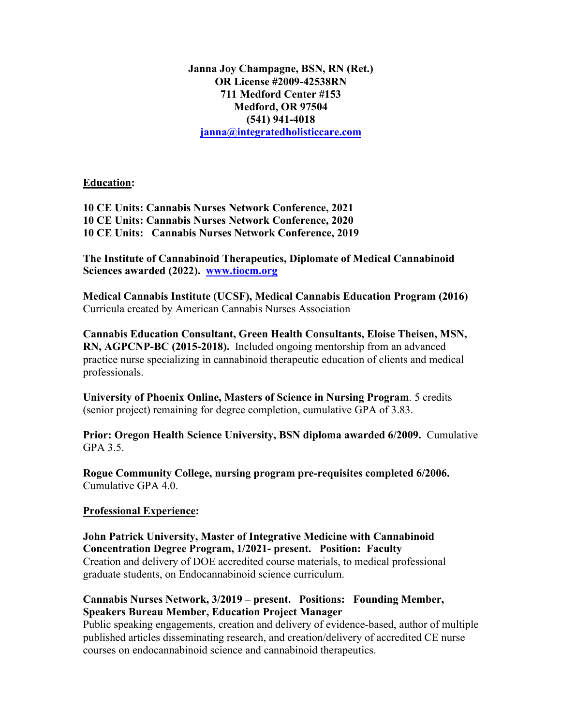**Janna Joy Champagne, BSN, RN (Ret.) OR License #2009-42538RN 711 Medford Center #153 Medford, OR 97504 (541) 941-4018 janna@integratedholisticcare.com**

**Education:**

**10 CE Units: Cannabis Nurses Network Conference, 2021 10 CE Units: Cannabis Nurses Network Conference, 2020 10 CE Units: Cannabis Nurses Network Conference, 2019**

**The Institute of Cannabinoid Therapeutics, Diplomate of Medical Cannabinoid Sciences awarded (2022). www.tiocm.org**

**Medical Cannabis Institute (UCSF), Medical Cannabis Education Program (2016)** Curricula created by American Cannabis Nurses Association

**Cannabis Education Consultant, Green Health Consultants, Eloise Theisen, MSN, RN, AGPCNP-BC (2015-2018).** Included ongoing mentorship from an advanced practice nurse specializing in cannabinoid therapeutic education of clients and medical professionals.

**University of Phoenix Online, Masters of Science in Nursing Program**. 5 credits (senior project) remaining for degree completion, cumulative GPA of 3.83.

**Prior: Oregon Health Science University, BSN diploma awarded 6/2009.** Cumulative GPA 3.5.

**Rogue Community College, nursing program pre-requisites completed 6/2006.**  Cumulative GPA 4.0.

# **Professional Experience:**

**John Patrick University, Master of Integrative Medicine with Cannabinoid Concentration Degree Program, 1/2021- present. Position: Faculty** Creation and delivery of DOE accredited course materials, to medical professional graduate students, on Endocannabinoid science curriculum.

# **Cannabis Nurses Network, 3/2019 – present. Positions: Founding Member, Speakers Bureau Member, Education Project Manager**

Public speaking engagements, creation and delivery of evidence-based, author of multiple published articles disseminating research, and creation/delivery of accredited CE nurse courses on endocannabinoid science and cannabinoid therapeutics.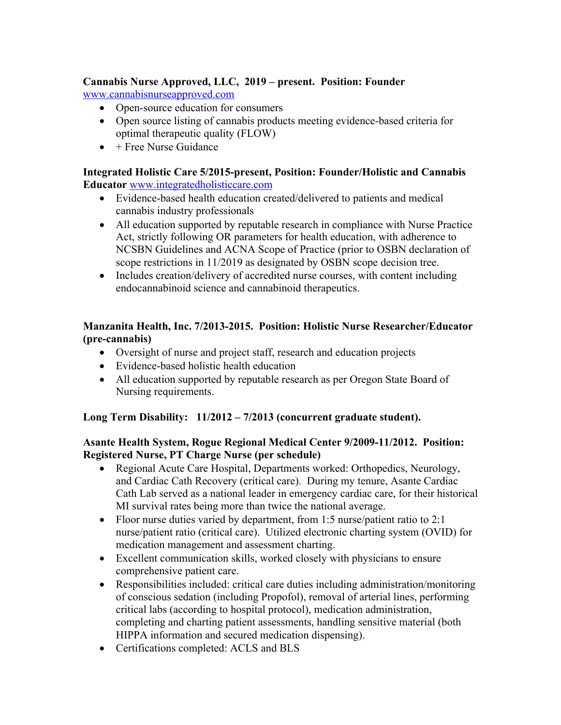# **Cannabis Nurse Approved, LLC, 2019 – present. Position: Founder**

www.cannabisnurseapproved.com

- Open-source education for consumers
- Open source listing of cannabis products meeting evidence-based criteria for optimal therapeutic quality (FLOW)
- $\bullet$  + Free Nurse Guidance

### **Integrated Holistic Care 5/2015-present, Position: Founder/Holistic and Cannabis Educator** www.integratedholisticcare.com

- Evidence-based health education created/delivered to patients and medical cannabis industry professionals
- All education supported by reputable research in compliance with Nurse Practice Act, strictly following OR parameters for health education, with adherence to NCSBN Guidelines and ACNA Scope of Practice (prior to OSBN declaration of scope restrictions in 11/2019 as designated by OSBN scope decision tree.
- Includes creation/delivery of accredited nurse courses, with content including endocannabinoid science and cannabinoid therapeutics.

# **Manzanita Health, Inc. 7/2013-2015. Position: Holistic Nurse Researcher/Educator (pre-cannabis)**

- Oversight of nurse and project staff, research and education projects
- Evidence-based holistic health education
- All education supported by reputable research as per Oregon State Board of Nursing requirements.

# **Long Term Disability: 11/2012 – 7/2013 (concurrent graduate student).**

# **Asante Health System, Rogue Regional Medical Center 9/2009-11/2012. Position: Registered Nurse, PT Charge Nurse (per schedule)**

- Regional Acute Care Hospital, Departments worked: Orthopedics, Neurology, and Cardiac Cath Recovery (critical care). During my tenure, Asante Cardiac Cath Lab served as a national leader in emergency cardiac care, for their historical MI survival rates being more than twice the national average.
- Floor nurse duties varied by department, from 1:5 nurse/patient ratio to 2:1 nurse/patient ratio (critical care). Utilized electronic charting system (OVID) for medication management and assessment charting.
- Excellent communication skills, worked closely with physicians to ensure comprehensive patient care.
- Responsibilities included: critical care duties including administration/monitoring of conscious sedation (including Propofol), removal of arterial lines, performing critical labs (according to hospital protocol), medication administration, completing and charting patient assessments, handling sensitive material (both HIPPA information and secured medication dispensing).
- Certifications completed: ACLS and BLS